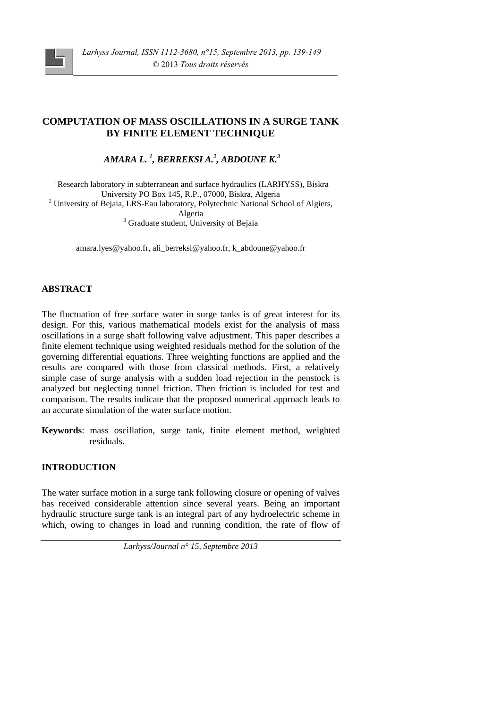

# **COMPUTATION OF MASS OSCILLATIONS IN A SURGE TANK BY FINITE ELEMENT TECHNIQUE**

*AMARA L. <sup>1</sup> , BERREKSI A.<sup>2</sup> , ABDOUNE K.<sup>3</sup>*

<sup>1</sup> Research laboratory in subterranean and surface hydraulics (LARHYSS), Biskra University PO Box 145, R.P., 07000, Biskra, Algeria <sup>2</sup> University of Bejaia, LRS-Eau laboratory, Polytechnic National School of Algiers, Algeria <sup>3</sup> Graduate student, University of Bejaia

amara.lyes@yahoo.fr, ali\_berreksi@yahoo.fr, k\_abdoune@yahoo.fr

### **ABSTRACT**

The fluctuation of free surface water in surge tanks is of great interest for its design. For this, various mathematical models exist for the analysis of mass oscillations in a surge shaft following valve adjustment. This paper describes a finite element technique using weighted residuals method for the solution of the governing differential equations. Three weighting functions are applied and the results are compared with those from classical methods. First, a relatively simple case of surge analysis with a sudden load rejection in the penstock is analyzed but neglecting tunnel friction. Then friction is included for test and comparison. The results indicate that the proposed numerical approach leads to an accurate simulation of the water surface motion.

**Keywords**: mass oscillation, surge tank, finite element method, weighted residuals.

### **INTRODUCTION**

The water surface motion in a surge tank following closure or opening of valves has received considerable attention since several years. Being an important hydraulic structure surge tank is an integral part of any hydroelectric scheme in which, owing to changes in load and running condition, the rate of flow of

*Larhyss/Journal n° 15, Septembre 2013*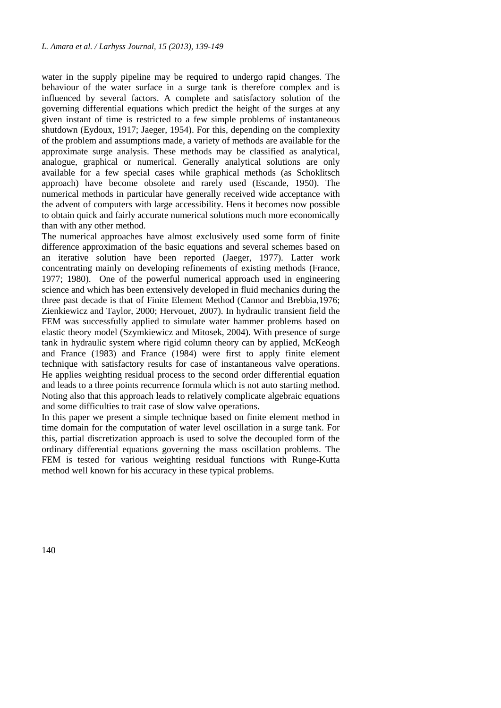water in the supply pipeline may be required to undergo rapid changes. The behaviour of the water surface in a surge tank is therefore complex and is influenced by several factors. A complete and satisfactory solution of the governing differential equations which predict the height of the surges at any given instant of time is restricted to a few simple problems of instantaneous shutdown (Eydoux, 1917; Jaeger, 1954). For this, depending on the complexity of the problem and assumptions made, a variety of methods are available for the approximate surge analysis. These methods may be classified as analytical, analogue, graphical or numerical. Generally analytical solutions are only available for a few special cases while graphical methods (as Schoklitsch approach) have become obsolete and rarely used (Escande, 1950). The numerical methods in particular have generally received wide acceptance with the advent of computers with large accessibility. Hens it becomes now possible to obtain quick and fairly accurate numerical solutions much more economically than with any other method.

The numerical approaches have almost exclusively used some form of finite difference approximation of the basic equations and several schemes based on an iterative solution have been reported (Jaeger, 1977). Latter work concentrating mainly on developing refinements of existing methods (France, 1977; 1980). One of the powerful numerical approach used in engineering science and which has been extensively developed in fluid mechanics during the three past decade is that of Finite Element Method (Cannor and Brebbia,1976; Zienkiewicz and Taylor, 2000; Hervouet, 2007). In hydraulic transient field the FEM was successfully applied to simulate water hammer problems based on elastic theory model (Szymkiewicz and Mitosek, 2004). With presence of surge tank in hydraulic system where rigid column theory can by applied, McKeogh and France (1983) and France (1984) were first to apply finite element technique with satisfactory results for case of instantaneous valve operations. He applies weighting residual process to the second order differential equation and leads to a three points recurrence formula which is not auto starting method. Noting also that this approach leads to relatively complicate algebraic equations and some difficulties to trait case of slow valve operations.

In this paper we present a simple technique based on finite element method in time domain for the computation of water level oscillation in a surge tank. For this, partial discretization approach is used to solve the decoupled form of the ordinary differential equations governing the mass oscillation problems. The FEM is tested for various weighting residual functions with Runge-Kutta method well known for his accuracy in these typical problems.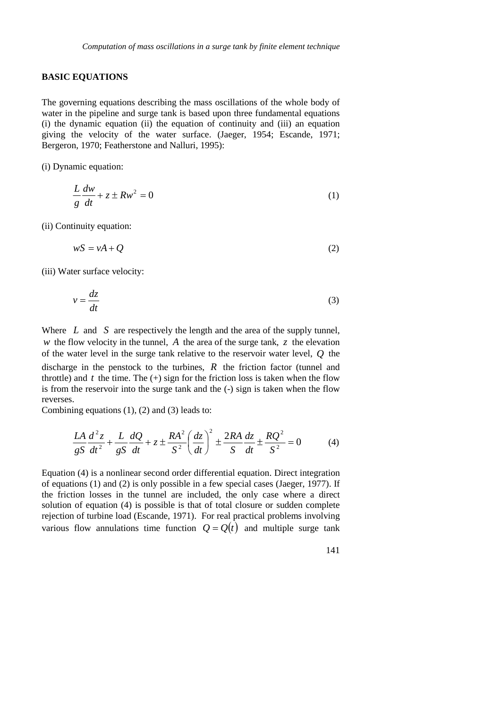### **BASIC EQUATIONS**

The governing equations describing the mass oscillations of the whole body of water in the pipeline and surge tank is based upon three fundamental equations (i) the dynamic equation (ii) the equation of continuity and (iii) an equation giving the velocity of the water surface. (Jaeger, 1954; Escande, 1971; Bergeron, 1970; Featherstone and Nalluri, 1995):

(i) Dynamic equation:

$$
\frac{L}{g}\frac{dw}{dt} + z \pm Rw^2 = 0\tag{1}
$$

(ii) Continuity equation:

$$
wS = vA + Q \tag{2}
$$

(iii) Water surface velocity:

$$
v = \frac{dz}{dt} \tag{3}
$$

Where *L* and *S* are respectively the length and the area of the supply tunnel, *w* the flow velocity in the tunnel, *A* the area of the surge tank, *z* the elevation of the water level in the surge tank relative to the reservoir water level, *Q* the discharge in the penstock to the turbines, *R* the friction factor (tunnel and throttle) and  $t$  the time. The  $(+)$  sign for the friction loss is taken when the flow is from the reservoir into the surge tank and the (-) sign is taken when the flow reverses.

Combining equations (1), (2) and (3) leads to:

$$
\frac{LA}{gS}\frac{d^2z}{dt^2} + \frac{L}{gS}\frac{dQ}{dt} + z \pm \frac{RA^2}{S^2} \left(\frac{dz}{dt}\right)^2 \pm \frac{2RA}{S}\frac{dz}{dt} \pm \frac{RQ^2}{S^2} = 0
$$
 (4)

Equation (4) is a nonlinear second order differential equation. Direct integration of equations (1) and (2) is only possible in a few special cases (Jaeger, 1977). If the friction losses in the tunnel are included, the only case where a direct solution of equation (4) is possible is that of total closure or sudden complete rejection of turbine load (Escande, 1971). For real practical problems involving various flow annulations time function  $Q = Q(t)$  and multiple surge tank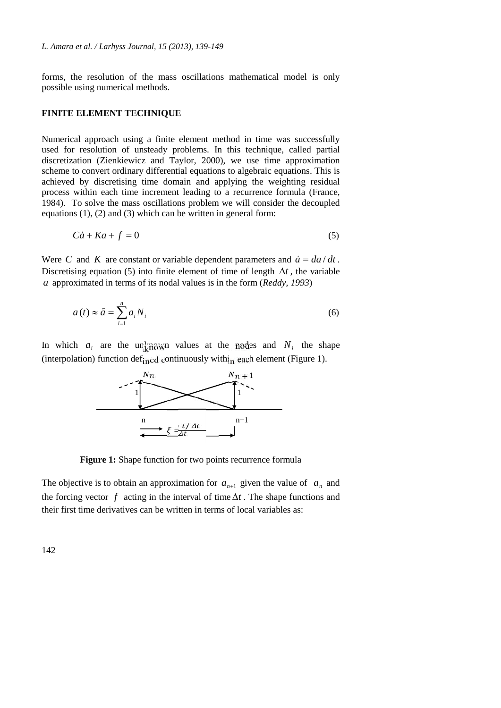forms, the resolution of the mass oscillations mathematical model is only possible using numerical methods.

#### **FINITE ELEMENT TECHNIQUE**

Numerical approach using a finite element method in time was successfully used for resolution of unsteady problems. In this technique, called partial discretization (Zienkiewicz and Taylor, 2000), we use time approximation scheme to convert ordinary differential equations to algebraic equations. This is achieved by discretising time domain and applying the weighting residual process within each time increment leading to a recurrence formula (France, 1984). To solve the mass oscillations problem we will consider the decoupled equations (1), (2) and (3) which can be written in general form:

$$
C\dot{a} + Ka + f = 0 \tag{5}
$$

Were *C* and *K* are constant or variable dependent parameters and  $\dot{a} = da/dt$ . Discretising equation (5) into finite element of time of length  $\Delta t$ , the variable *a* approximated in terms of its nodal values is in the form (*Reddy, 1993*)

$$
a(t) \approx \hat{a} = \sum_{i=1}^{n} a_i N_i
$$
 (6)

In which  $a_i$  are the unknown values at the nodes and  $N_i$  the shape (interpolation) function def<sub>ined</sub> continuously with $_{\text{in}}$  each element (Figure 1).



**Figure 1:** Shape function for two points recurrence formula

The objective is to obtain an approximation for  $a_{n+1}$  given the value of  $a_n$  and the forcing vector  $f$  acting in the interval of time  $\Delta t$ . The shape functions and their first time derivatives can be written in terms of local variables as: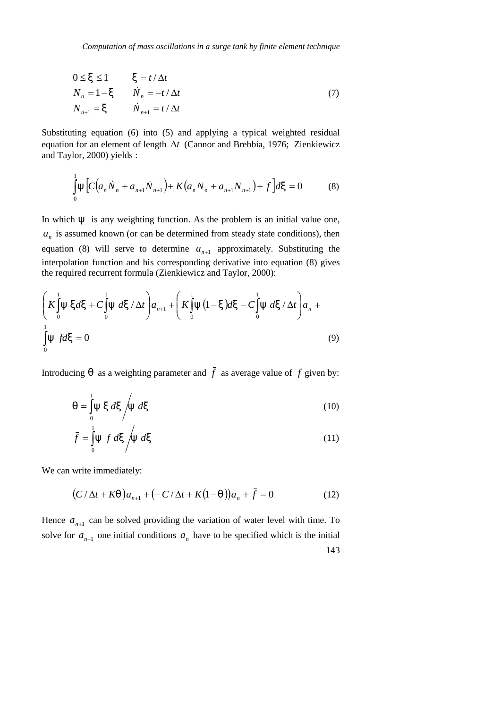*Computation of mass oscillations in a surge tank by finite element technique*

$$
0 \le \langle \le 1 \rangle \langle \cdot \rangle = t/\Delta t
$$
  
\n
$$
N_n = 1 - \langle \cdot \rangle \langle \cdot \rangle = -t/\Delta t
$$
  
\n
$$
N_{n+1} = \langle \cdot \rangle \langle \cdot \rangle = t/\Delta t
$$
\n(7)

Substituting equation (6) into (5) and applying a typical weighted residual equation for an element of length  $\Delta t$  (Cannor and Brebbia, 1976; Zienkiewicz and Taylor, 2000) yields :

$$
\int_{0}^{1} \mathbb{E} \left[ C \left( a_{n} \dot{N}_{n} + a_{n+1} \dot{N}_{n+1} \right) + K \left( a_{n} N_{n} + a_{n+1} N_{n+1} \right) + f \right] d\kappa = 0 \tag{8}
$$

In which  $E$  is any weighting function. As the problem is an initial value one,  $a_n$  is assumed known (or can be determined from steady state conditions), then equation (8) will serve to determine  $a_{n+1}$  approximately. Substituting the interpolation function and his corresponding derivative into equation (8) gives the required recurrent formula (Zienkiewicz and Taylor, 2000):

$$
\left(K\int_{0}^{1} \mathbb{E} \cdot d\varsigma + C\int_{0}^{1} \mathbb{E} \cdot d\varsigma / \Delta t\right) a_{n+1} + \left(K\int_{0}^{1} \mathbb{E} \left(1 - \varsigma\right) d\varsigma - C\int_{0}^{1} \mathbb{E} \cdot d\varsigma / \Delta t\right) a_{n} + \int_{0}^{1} \mathbb{E} \cdot f d\varsigma = 0
$$
\n(9)

Introducing , as a weighting parameter and  $\overline{f}$  as average value of  $f$  given by:

$$
u_{\nu} = \int_{0}^{1} \mathbb{E} \cdot d\langle \int_{0}^{1} d\langle d\langle \mathbb{I} \rangle \rangle \tag{10}
$$

$$
\bar{f} = \int_{0}^{1} \mathbb{E} f \, d\zeta / \mathbb{E} d\zeta
$$
 (11)

We can write immediately:

$$
(C/\Delta t + K_n) a_{n+1} + (-C/\Delta t + K(1 - n)) a_n + \bar{f} = 0 \tag{12}
$$

143 Hence  $a_{n+1}$  can be solved providing the variation of water level with time. To solve for  $a_{n+1}$  one initial conditions  $a_n$  have to be specified which is the initial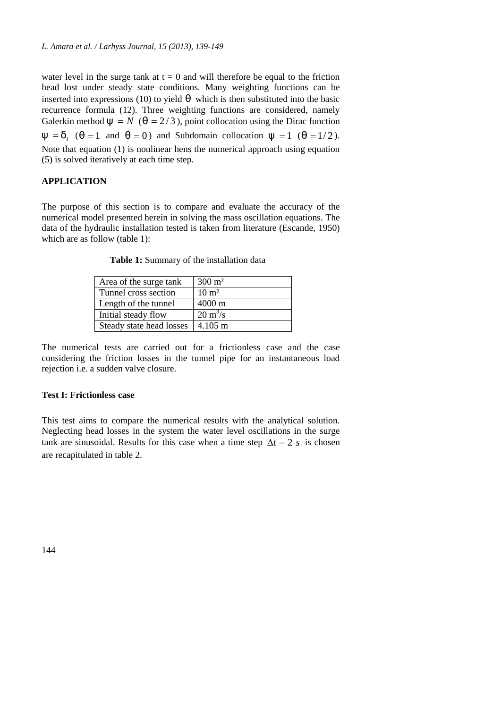water level in the surge tank at  $t = 0$  and will therefore be equal to the friction head lost under steady state conditions. Many weighting functions can be inserted into expressions (10) to yield  $\mu$  which is then substituted into the basic recurrence formula (12). Three weighting functions are considered, namely Galerkin method  $\mathbb{E} = N$  ( $\mathbb{I} = 2/3$ ), point collocation using the Dirac function  $E = u_i$ ,  $\binom{n}{i} = 1$  and  $\binom{n}{i} = 0$  and Subdomain collocation  $E = 1$  ( $\binom{n}{i} = 1/2$ ). Note that equation (1) is nonlinear hens the numerical approach using equation (5) is solved iteratively at each time step.

### **APPLICATION**

The purpose of this section is to compare and evaluate the accuracy of the numerical model presented herein in solving the mass oscillation equations. The data of the hydraulic installation tested is taken from literature (Escande, 1950) which are as follow (table 1):

| Area of the surge tank   | $300 \text{ m}^2$         |
|--------------------------|---------------------------|
| Tunnel cross section     | $10 \text{ m}^2$          |
| Length of the tunnel     | $4000 \text{ m}$          |
| Initial steady flow      | $20 \text{ m}^3/\text{s}$ |
| Steady state head losses | $\pm 4.105 \text{ m}$     |

**Table 1:** Summary of the installation data

The numerical tests are carried out for a frictionless case and the case considering the friction losses in the tunnel pipe for an instantaneous load rejection i.e. a sudden valve closure.

#### **Test I: Frictionless case**

This test aims to compare the numerical results with the analytical solution. Neglecting head losses in the system the water level oscillations in the surge tank are sinusoidal. Results for this case when a time step  $\Delta t = 2$  *s* is chosen are recapitulated in table 2.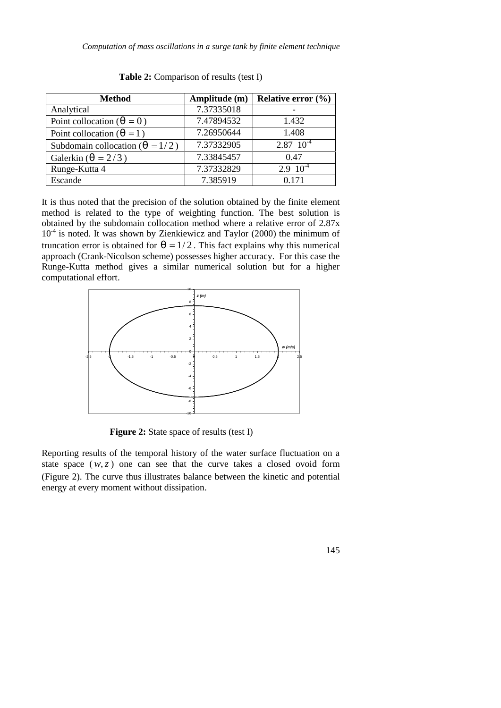*Computation of mass oscillations in a surge tank by finite element technique*

| <b>Method</b>                            | Amplitude (m) | Relative error $(\% )$ |
|------------------------------------------|---------------|------------------------|
| Analytical                               | 7.37335018    |                        |
| Point collocation ( $_{\nu} = 0$ )       | 7.47894532    | 1.432                  |
| Point collocation ( $_{\mu}$ = 1)        | 7.26950644    | 1.408                  |
| Subdomain collocation ( $_{\nu} = 1/2$ ) | 7.37332905    | $2.87 \cdot 10^{-4}$   |
| Galerkin ( $_{\eta}$ = 2/3)              | 7.33845457    | 0.47                   |
| Runge-Kutta 4                            | 7.37332829    | $2.9 \cdot 10^{-4}$    |
| Escande                                  | 7.385919      | 0.171                  |

**Table 2:** Comparison of results (test I)

It is thus noted that the precision of the solution obtained by the finite element method is related to the type of weighting function. The best solution is obtained by the subdomain collocation method where a relative error of 2.87x  $10<sup>-4</sup>$  is noted. It was shown by Zienkiewicz and Taylor (2000) the minimum of truncation error is obtained for  $\ell_{\ell} = 1/2$ . This fact explains why this numerical approach (Crank-Nicolson scheme) possesses higher accuracy. For this case the Runge-Kutta method gives a similar numerical solution but for a higher computational effort.



**Figure 2:** State space of results (test I)

Reporting results of the temporal history of the water surface fluctuation on a state space  $(w, z)$  one can see that the curve takes a closed ovoid form (Figure 2). The curve thus illustrates balance between the kinetic and potential energy at every moment without dissipation.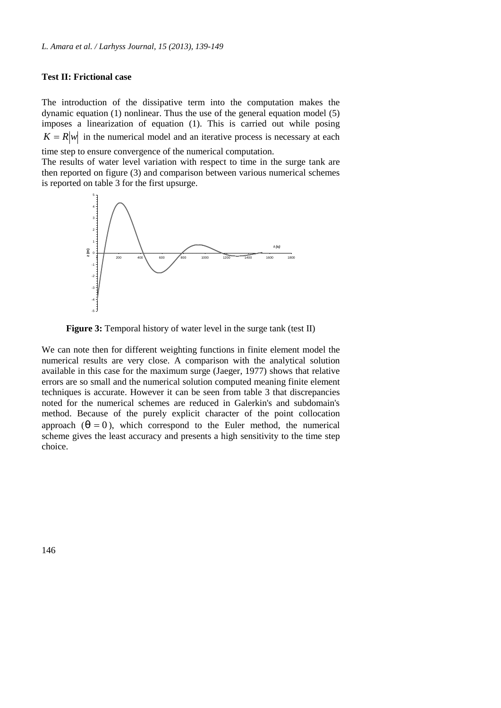#### **Test II: Frictional case**

The introduction of the dissipative term into the computation makes the dynamic equation (1) nonlinear. Thus the use of the general equation model (5) imposes a linearization of equation (1). This is carried out while posing  $K = R|w|$  in the numerical model and an iterative process is necessary at each

time step to ensure convergence of the numerical computation.

The results of water level variation with respect to time in the surge tank are then reported on figure (3) and comparison between various numerical schemes is reported on table 3 for the first upsurge.



**Figure 3:** Temporal history of water level in the surge tank (test II)

We can note then for different weighting functions in finite element model the numerical results are very close. A comparison with the analytical solution available in this case for the maximum surge (Jaeger, 1977) shows that relative errors are so small and the numerical solution computed meaning finite element techniques is accurate. However it can be seen from table 3 that discrepancies noted for the numerical schemes are reduced in Galerkin's and subdomain's method. Because of the purely explicit character of the point collocation approach  $\binom{1}{k} = 0$ , which correspond to the Euler method, the numerical scheme gives the least accuracy and presents a high sensitivity to the time step choice.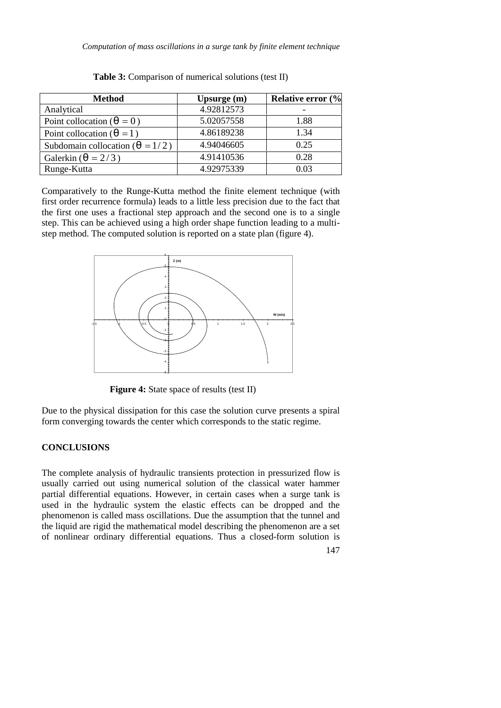*Computation of mass oscillations in a surge tank by finite element technique*

| <b>Method</b>                            | Upsurge $(m)$ | <b>Relative error (%</b> |
|------------------------------------------|---------------|--------------------------|
| Analytical                               | 4.92812573    | $\overline{\phantom{0}}$ |
| Point collocation ( $_{\eta} = 0$ )      | 5.02057558    | 1.88                     |
| Point collocation ( $_{\eta}$ = 1)       | 4.86189238    | 1.34                     |
| Subdomain collocation ( $_{\eta}$ = 1/2) | 4.94046605    | 0.25                     |
| Galerkin ( $_{\eta}$ = 2/3)              | 4.91410536    | 0.28                     |
| Runge-Kutta                              | 4.92975339    | 0.03                     |

**Table 3:** Comparison of numerical solutions (test II)

Comparatively to the Runge-Kutta method the finite element technique (with first order recurrence formula) leads to a little less precision due to the fact that the first one uses a fractional step approach and the second one is to a single step. This can be achieved using a high order shape function leading to a multi step method. The computed solution is reported on a state plan (figure 4).



**Figure 4:** State space of results (test II)

Due to the physical dissipation for this case the solution curve presents a spiral form converging towards the center which corresponds to the static regime.

## **CONCLUSIONS**

The complete analysis of hydraulic transients protection in pressurized flow is usually carried out using numerical solution of the classical water hammer partial differential equations. However, in certain cases when a surge tank is used in the hydraulic system the elastic effects can be dropped and the phenomenon is called mass oscillations. Due the assumption that the tunnel and the liquid are rigid the mathematical model describing the phenomenon are a set of nonlinear ordinary differential equations. Thus a closed-form solution is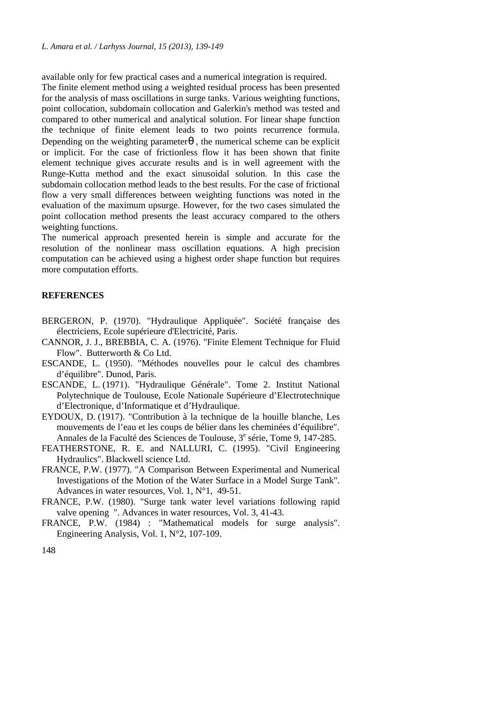available only for few practical cases and a numerical integration is required.

The finite element method using a weighted residual process has been presented for the analysis of mass oscillations in surge tanks. Various weighting functions, point collocation, subdomain collocation and Galerkin's method was tested and compared to other numerical and analytical solution. For linear shape function the technique of finite element leads to two points recurrence formula. Depending on the weighting parameter  $<sub>n</sub>$ , the numerical scheme can be explicit</sub> or implicit. For the case of frictionless flow it has been shown that finite element technique gives accurate results and is in well agreement with the Runge-Kutta method and the exact sinusoidal solution. In this case the subdomain collocation method leads to the best results. For the case of frictional flow a very small differences between weighting functions was noted in the evaluation of the maximum upsurge. However, for the two cases simulated the point collocation method presents the least accuracy compared to the others weighting functions.

The numerical approach presented herein is simple and accurate for the resolution of the nonlinear mass oscillation equations. A high precision computation can be achieved using a highest order shape function but requires more computation efforts.

#### **REFERENCES**

- BERGERON, P. (1970). "Hydraulique Appliquée". Société française des électriciens, Ecole supérieure d'Electricité, Paris.
- CANNOR, J. J., BREBBIA, C. A. (1976). "Finite Element Technique for Fluid Flow". Butterworth & Co Ltd.
- ESCANDE, L. (1950). "Méthodes nouvelles pour le calcul des chambres d'équilibre". Dunod, Paris.
- ESCANDE, L. (1971). "Hydraulique Générale". Tome 2. Institut National Polytechnique de Toulouse, Ecole Nationale Supérieure d'Electrotechnique d'Electronique, d'Informatique et d'Hydraulique.
- EYDOUX, D. (1917). "Contribution à la technique de la houille blanche, Les mouvements de l'eau et les coups de bélier dans les cheminées d'équilibre". Annales de la Faculté des Sciences de Toulouse, 3<sup>e</sup> série, Tome 9, 147-285.
- FEATHERSTONE, R. E. and NALLURI, C. (1995). "Civil Engineering Hydraulics". Blackwell science Ltd.
- FRANCE, P.W. (1977). "A Comparison Between Experimental and Numerical Investigations of the Motion of the Water Surface in a Model Surge Tank". Advances in water resources, Vol. 1, N°1, 49-51.
- FRANCE, P.W. (1980). "Surge tank water level variations following rapid valve opening ". Advances in water resources, Vol. 3, 41-43.
- FRANCE, P.W. (1984) : "Mathematical models for surge analysis". Engineering Analysis, Vol. 1, N°2, 107-109.